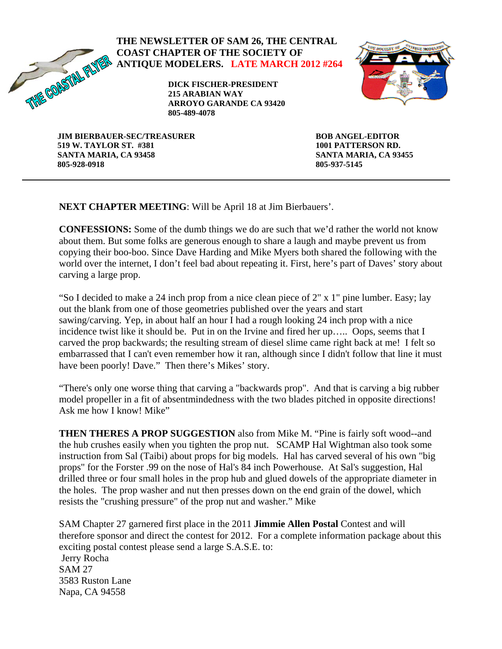

### **THE NEWSLETTER OF SAM 26, THE CENTRAL COAST CHAPTER OF THE SOCIETY OF ANTIQUE MODELERS. LATE MARCH 2012 #264**

**DICK FISCHER-PRESIDENT 215 ARABIAN WAY ARROYO GARANDE CA 93420 805-489-4078** 



**JIM BIERBAUER-SEC/TREASURER 519 W. TAYLOR ST. #381 SANTA MARIA, CA 93458 805-928-0918** 

**BOB ANGEL-EDITOR 1001 PATTERSON RD. SANTA MARIA, CA 93455 805-937-5145** 

**NEXT CHAPTER MEETING**: Will be April 18 at Jim Bierbauers'.

**CONFESSIONS:** Some of the dumb things we do are such that we'd rather the world not know about them. But some folks are generous enough to share a laugh and maybe prevent us from copying their boo-boo. Since Dave Harding and Mike Myers both shared the following with the world over the internet, I don't feel bad about repeating it. First, here's part of Daves' story about carving a large prop.

"So I decided to make a 24 inch prop from a nice clean piece of 2" x 1" pine lumber. Easy; lay out the blank from one of those geometries published over the years and start sawing/carving. Yep, in about half an hour I had a rough looking 24 inch prop with a nice incidence twist like it should be. Put in on the Irvine and fired her up….. Oops, seems that I carved the prop backwards; the resulting stream of diesel slime came right back at me! I felt so embarrassed that I can't even remember how it ran, although since I didn't follow that line it must have been poorly! Dave." Then there's Mikes' story.

"There's only one worse thing that carving a "backwards prop". And that is carving a big rubber model propeller in a fit of absentmindedness with the two blades pitched in opposite directions! Ask me how I know! Mike"

**THEN THERES A PROP SUGGESTION** also from Mike M. "Pine is fairly soft wood--and the hub crushes easily when you tighten the prop nut. SCAMP Hal Wightman also took some instruction from Sal (Taibi) about props for big models. Hal has carved several of his own "big props" for the Forster .99 on the nose of Hal's 84 inch Powerhouse. At Sal's suggestion, Hal drilled three or four small holes in the prop hub and glued dowels of the appropriate diameter in the holes. The prop washer and nut then presses down on the end grain of the dowel, which resists the "crushing pressure" of the prop nut and washer." Mike

SAM Chapter 27 garnered first place in the 2011 **Jimmie Allen Postal** Contest and will therefore sponsor and direct the contest for 2012. For a complete information package about this exciting postal contest please send a large S.A.S.E. to: Jerry Rocha SAM 27 3583 Ruston Lane Napa, CA 94558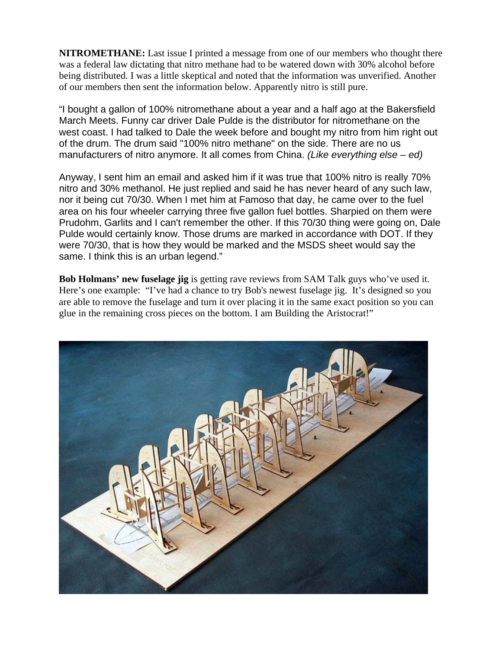**NITROMETHANE:** Last issue I printed a message from one of our members who thought there was a federal law dictating that nitro methane had to be watered down with 30% alcohol before being distributed. I was a little skeptical and noted that the information was unverified. Another of our members then sent the information below. Apparently nitro is still pure.

"I bought a gallon of 100% nitromethane about a year and a half ago at the Bakersfield March Meets. Funny car driver Dale Pulde is the distributor for nitromethane on the west coast. I had talked to Dale the week before and bought my nitro from him right out of the drum. The drum said "100% nitro methane" on the side. There are no us manufacturers of nitro anymore. It all comes from China. *(Like everything else – ed)* 

Anyway, I sent him an email and asked him if it was true that 100% nitro is really 70% nitro and 30% methanol. He just replied and said he has never heard of any such law, nor it being cut 70/30. When I met him at Famoso that day, he came over to the fuel area on his four wheeler carrying three five gallon fuel bottles. Sharpied on them were Prudohm, Garlits and I can't remember the other. If this 70/30 thing were going on, Dale Pulde would certainly know. Those drums are marked in accordance with DOT. If they were 70/30, that is how they would be marked and the MSDS sheet would say the same. I think this is an urban legend."

**Bob Holmans' new fuselage jig** is getting rave reviews from SAM Talk guys who've used it. Here's one example: "I've had a chance to try Bob's newest fuselage jig. It's designed so you are able to remove the fuselage and turn it over placing it in the same exact position so you can glue in the remaining cross pieces on the bottom. I am Building the Aristocrat!"

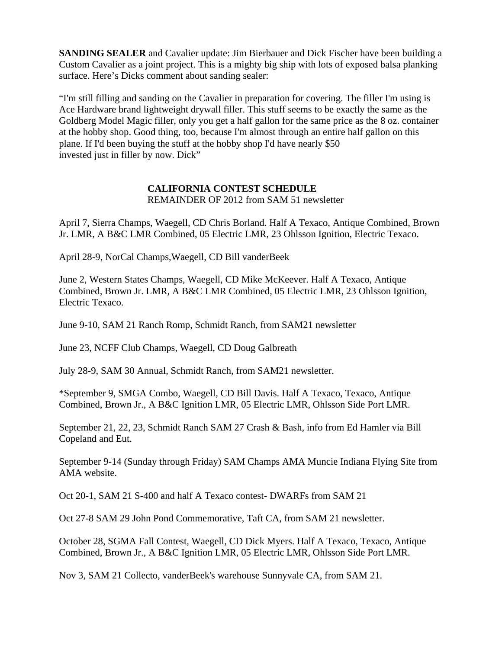**SANDING SEALER** and Cavalier update: Jim Bierbauer and Dick Fischer have been building a Custom Cavalier as a joint project. This is a mighty big ship with lots of exposed balsa planking surface. Here's Dicks comment about sanding sealer:

"I'm still filling and sanding on the Cavalier in preparation for covering. The filler I'm using is Ace Hardware brand lightweight drywall filler. This stuff seems to be exactly the same as the Goldberg Model Magic filler, only you get a half gallon for the same price as the 8 oz. container at the hobby shop. Good thing, too, because I'm almost through an entire half gallon on this plane. If I'd been buying the stuff at the hobby shop I'd have nearly \$50 invested just in filler by now. Dick"

#### **CALIFORNIA CONTEST SCHEDULE**

REMAINDER OF 2012 from SAM 51 newsletter

April 7, Sierra Champs, Waegell, CD Chris Borland. Half A Texaco, Antique Combined, Brown Jr. LMR, A B&C LMR Combined, 05 Electric LMR, 23 Ohlsson Ignition, Electric Texaco.

April 28-9, NorCal Champs,Waegell, CD Bill vanderBeek

June 2, Western States Champs, Waegell, CD Mike McKeever. Half A Texaco, Antique Combined, Brown Jr. LMR, A B&C LMR Combined, 05 Electric LMR, 23 Ohlsson Ignition, Electric Texaco.

June 9-10, SAM 21 Ranch Romp, Schmidt Ranch, from SAM21 newsletter

June 23, NCFF Club Champs, Waegell, CD Doug Galbreath

July 28-9, SAM 30 Annual, Schmidt Ranch, from SAM21 newsletter.

\*September 9, SMGA Combo, Waegell, CD Bill Davis. Half A Texaco, Texaco, Antique Combined, Brown Jr., A B&C Ignition LMR, 05 Electric LMR, Ohlsson Side Port LMR.

September 21, 22, 23, Schmidt Ranch SAM 27 Crash & Bash, info from Ed Hamler via Bill Copeland and Eut.

September 9-14 (Sunday through Friday) SAM Champs AMA Muncie Indiana Flying Site from AMA website.

Oct 20-1, SAM 21 S-400 and half A Texaco contest- DWARFs from SAM 21

Oct 27-8 SAM 29 John Pond Commemorative, Taft CA, from SAM 21 newsletter.

October 28, SGMA Fall Contest, Waegell, CD Dick Myers. Half A Texaco, Texaco, Antique Combined, Brown Jr., A B&C Ignition LMR, 05 Electric LMR, Ohlsson Side Port LMR.

Nov 3, SAM 21 Collecto, vanderBeek's warehouse Sunnyvale CA, from SAM 21.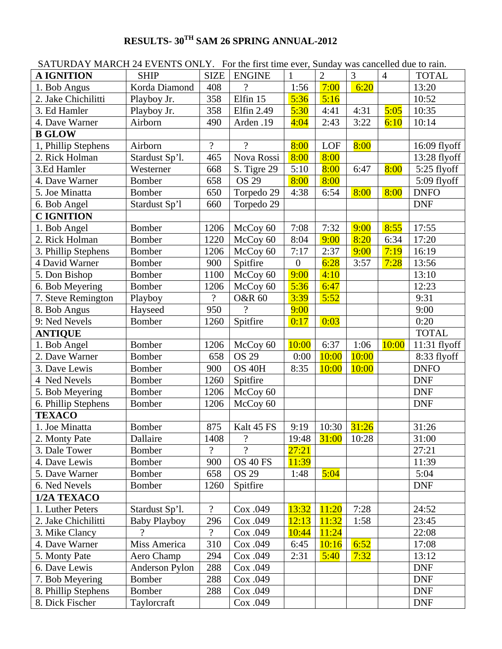# **RESULTS- 30TH SAM 26 SPRING ANNUAL-2012**

| $\beta$ and $\beta$ and $\beta$ and $\beta$ and $\beta$ and $\beta$ and $\beta$ and $\beta$ and $\beta$ and $\beta$ |                     |                          |                   |                  |                |                |                | was cancelled due to full. |
|---------------------------------------------------------------------------------------------------------------------|---------------------|--------------------------|-------------------|------------------|----------------|----------------|----------------|----------------------------|
| <b>A IGNITION</b>                                                                                                   | <b>SHIP</b>         | <b>SIZE</b>              | <b>ENGINE</b>     | $\mathbf{1}$     | $\overline{2}$ | $\overline{3}$ | $\overline{4}$ | <b>TOTAL</b>               |
| 1. Bob Angus                                                                                                        | Korda Diamond       | 408                      | $\gamma$          | 1:56             | 7:00           | 6:20           |                | 13:20                      |
| 2. Jake Chichilitti                                                                                                 | Playboy Jr.         | 358                      | Elfin 15          | 5:36             | 5:16           |                |                | 10:52                      |
| 3. Ed Hamler                                                                                                        | Playboy Jr.         | 358                      | Elfin 2.49        | 5:30             | 4:41           | 4:31           | 5:05           | 10:35                      |
| 4. Dave Warner                                                                                                      | Airborn             | 490                      | Arden .19         | 4:04             | 2:43           | 3:22           | 6:10           | 10:14                      |
| <b>B GLOW</b>                                                                                                       |                     |                          |                   |                  |                |                |                |                            |
| 1, Phillip Stephens                                                                                                 | Airborn             | $\overline{?}$           | $\gamma$          | 8:00             | LOF            | 8:00           |                | 16:09 flyoff               |
| 2. Rick Holman                                                                                                      | Stardust Sp'l.      | 465                      | Nova Rossi        | 8:00             | 8:00           |                |                | 13:28 flyoff               |
| 3.Ed Hamler                                                                                                         | Westerner           | 668                      | S. Tigre 29       | 5:10             | 8:00           | 6:47           | 8:00           | 5:25 flyoff                |
| 4. Dave Warner                                                                                                      | <b>Bomber</b>       | 658                      | <b>OS 29</b>      | 8:00             | 8:00           |                |                | 5:09 flyoff                |
| 5. Joe Minatta                                                                                                      | <b>Bomber</b>       | 650                      | Torpedo 29        | 4:38             | 6:54           | 8:00           | 8:00           | <b>DNFO</b>                |
| 6. Bob Angel                                                                                                        | Stardust Sp'l       | 660                      | Torpedo 29        |                  |                |                |                | <b>DNF</b>                 |
| <b>CIGNITION</b>                                                                                                    |                     |                          |                   |                  |                |                |                |                            |
| 1. Bob Angel                                                                                                        | <b>Bomber</b>       | 1206                     | McCoy 60          | 7:08             | 7:32           | 9:00           | 8:55           | 17:55                      |
| 2. Rick Holman                                                                                                      | <b>Bomber</b>       | 1220                     | McCoy 60          | 8:04             | 9:00           | 8:20           | 6:34           | 17:20                      |
| 3. Phillip Stephens                                                                                                 | <b>Bomber</b>       | 1206                     | McCoy 60          | 7:17             | 2:37           | 9:00           | 7:19           | 16:19                      |
| 4 David Warner                                                                                                      | <b>Bomber</b>       | 900                      | Spitfire          | $\boldsymbol{0}$ | 6:28           | 3:57           | 7:28           | 13:56                      |
| 5. Don Bishop                                                                                                       | Bomber              | 1100                     | McCoy 60          | 9:00             | 4:10           |                |                | 13:10                      |
| 6. Bob Meyering                                                                                                     | <b>Bomber</b>       | 1206                     | McCoy 60          | 5:36             | 6:47           |                |                | 12:23                      |
| 7. Steve Remington                                                                                                  | Playboy             | $\overline{?}$           | <b>O&amp;R 60</b> | 3:39             | 5:52           |                |                | 9:31                       |
| 8. Bob Angus                                                                                                        | Hayseed             | 950                      | $\gamma$          | 9:00             |                |                |                | 9:00                       |
| 9: Ned Nevels                                                                                                       | <b>Bomber</b>       | 1260                     | Spitfire          | 0:17             | 0:03           |                |                | 0:20                       |
| <b>ANTIQUE</b>                                                                                                      |                     |                          |                   |                  |                |                |                | <b>TOTAL</b>               |
| 1. Bob Angel                                                                                                        | Bomber              | 1206                     | McCoy 60          | 10:00            | 6:37           | 1:06           | 10:00          | $11:31$ flyoff             |
| 2. Dave Warner                                                                                                      | <b>Bomber</b>       | 658                      | <b>OS 29</b>      | 0:00             | 10:00          | 10:00          |                | 8:33 flyoff                |
| 3. Dave Lewis                                                                                                       | <b>Bomber</b>       | 900                      | OS 40H            | 8:35             | 10:00          | 10:00          |                | <b>DNFO</b>                |
| 4 Ned Nevels                                                                                                        | Bomber              | 1260                     | Spitfire          |                  |                |                |                | <b>DNF</b>                 |
| 5. Bob Meyering                                                                                                     | <b>Bomber</b>       | 1206                     | McCoy 60          |                  |                |                |                | <b>DNF</b>                 |
| 6. Phillip Stephens                                                                                                 | Bomber              | 1206                     | McCoy 60          |                  |                |                |                | <b>DNF</b>                 |
| <b>TEXACO</b>                                                                                                       |                     |                          |                   |                  |                |                |                |                            |
| 1. Joe Minatta                                                                                                      | <b>Bomber</b>       | 875                      | Kalt 45 FS        | 9:19             | 10:30          | 31:26          |                | 31:26                      |
| 2. Monty Pate                                                                                                       | Dallaire            | 1408                     | $\overline{?}$    | 19:48            | 31:00          | 10:28          |                | 31:00                      |
| 3. Dale Tower                                                                                                       | <b>Bomber</b>       | ?                        | $\gamma$          | 27:21            |                |                |                | 27:21                      |
| 4. Dave Lewis                                                                                                       | Bomber              | 900                      | OS 40 FS          | 11:39            |                |                |                | 11:39                      |
| 5. Dave Warner                                                                                                      | Bomber              | 658                      | <b>OS 29</b>      | 1:48             | 5:04           |                |                | 5:04                       |
| 6. Ned Nevels                                                                                                       | <b>Bomber</b>       | 1260                     | Spitfire          |                  |                |                |                | <b>DNF</b>                 |
| 1/2A TEXACO                                                                                                         |                     |                          |                   |                  |                |                |                |                            |
| 1. Luther Peters                                                                                                    | Stardust Sp'l.      | $\overline{\mathcal{L}}$ | Cox .049          | 13:32            | 11:20          | 7:28           |                | 24:52                      |
| 2. Jake Chichilitti                                                                                                 | <b>Baby Playboy</b> | 296                      | Cox .049          | 12:13            | 11:32          | 1:58           |                | 23:45                      |
| 3. Mike Clancy                                                                                                      | $\gamma$            | $\gamma$                 | Cox .049          | 10:44            | 11:24          |                |                | 22:08                      |
| 4. Dave Warner                                                                                                      | Miss America        | 310                      | Cox .049          | 6:45             | 10:16          | 6:52           |                | 17:08                      |
| 5. Monty Pate                                                                                                       | Aero Champ          | 294                      | Cox .049          | 2:31             | 5:40           | 7:32           |                | 13:12                      |
| 6. Dave Lewis                                                                                                       | Anderson Pylon      | 288                      | Cox .049          |                  |                |                |                | <b>DNF</b>                 |
| 7. Bob Meyering                                                                                                     | Bomber              | 288                      | Cox .049          |                  |                |                |                | <b>DNF</b>                 |
| 8. Phillip Stephens                                                                                                 | <b>Bomber</b>       | 288                      | Cox .049          |                  |                |                |                | <b>DNF</b>                 |
| 8. Dick Fischer                                                                                                     | Taylorcraft         |                          | Cox .049          |                  |                |                |                | <b>DNF</b>                 |

SATURDAY MARCH 24 EVENTS ONLY. For the first time ever, Sunday was cancelled due to rain.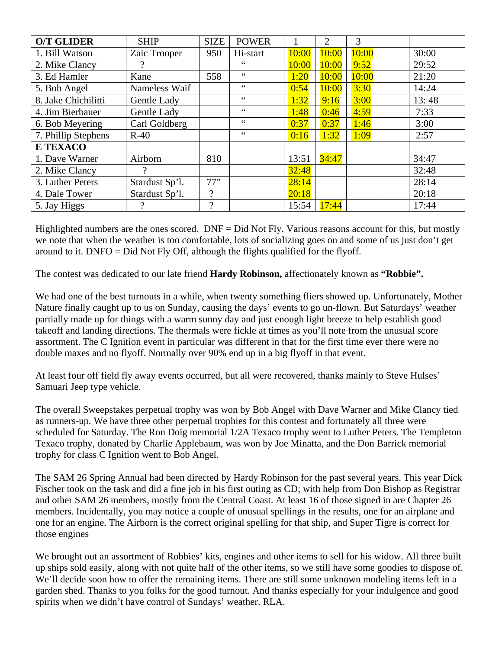| <b>O/T GLIDER</b>   | <b>SHIP</b>    | <b>SIZE</b> | <b>POWER</b>    |       | 2     | 3     |       |
|---------------------|----------------|-------------|-----------------|-------|-------|-------|-------|
| 1. Bill Watson      | Zaic Trooper   | 950         | Hi-start        | 10:00 | 10:00 | 10:00 | 30:00 |
| 2. Mike Clancy      |                |             | $\zeta$ $\zeta$ | 10:00 | 10:00 | 9:52  | 29:52 |
| 3. Ed Hamler        | Kane           | 558         | 66              | 1:20  | 10:00 | 10:00 | 21:20 |
| 5. Bob Angel        | Nameless Waif  |             | $\zeta$ $\zeta$ | 0:54  | 10:00 | 3:30  | 14:24 |
| 8. Jake Chichilitti | Gentle Lady    |             | $\zeta$ $\zeta$ | 1:32  | 9:16  | 3:00  | 13:48 |
| 4. Jim Bierbauer    | Gentle Lady    |             | $\zeta$ $\zeta$ | 1:48  | 0:46  | 4:59  | 7:33  |
| 6. Bob Meyering     | Carl Goldberg  |             | 66              | 0:37  | 0:37  | 1:46  | 3:00  |
| 7. Phillip Stephens | $R-40$         |             | 66              | 0:16  | 1:32  | 1:09  | 2:57  |
| <b>E TEXACO</b>     |                |             |                 |       |       |       |       |
| 1. Dave Warner      | Airborn        | 810         |                 | 13:51 | 34:47 |       | 34:47 |
| 2. Mike Clancy      |                |             |                 | 32:48 |       |       | 32:48 |
| 3. Luther Peters    | Stardust Sp'l. | 77"         |                 | 28:14 |       |       | 28:14 |
| 4. Dale Tower       | Stardust Sp'l. | $\gamma$    |                 | 20:18 |       |       | 20:18 |
| 5. Jay Higgs        | റ              | $\Omega$    |                 | 15:54 | 17:44 |       | 17:44 |

Highlighted numbers are the ones scored.  $DNF = Did Not Fly$ . Various reasons account for this, but mostly we note that when the weather is too comfortable, lots of socializing goes on and some of us just don't get around to it. DNFO = Did Not Fly Off, although the flights qualified for the flyoff.

The contest was dedicated to our late friend **Hardy Robinson,** affectionately known as **"Robbie".** 

We had one of the best turnouts in a while, when twenty something fliers showed up. Unfortunately, Mother Nature finally caught up to us on Sunday, causing the days' events to go un-flown. But Saturdays' weather partially made up for things with a warm sunny day and just enough light breeze to help establish good takeoff and landing directions. The thermals were fickle at times as you'll note from the unusual score assortment. The C Ignition event in particular was different in that for the first time ever there were no double maxes and no flyoff. Normally over 90% end up in a big flyoff in that event.

At least four off field fly away events occurred, but all were recovered, thanks mainly to Steve Hulses' Samuari Jeep type vehicle.

The overall Sweepstakes perpetual trophy was won by Bob Angel with Dave Warner and Mike Clancy tied as runners-up. We have three other perpetual trophies for this contest and fortunately all three were scheduled for Saturday. The Ron Doig memorial 1/2A Texaco trophy went to Luther Peters. The Templeton Texaco trophy, donated by Charlie Applebaum, was won by Joe Minatta, and the Don Barrick memorial trophy for class C Ignition went to Bob Angel.

The SAM 26 Spring Annual had been directed by Hardy Robinson for the past several years. This year Dick Fischer took on the task and did a fine job in his first outing as CD; with help from Don Bishop as Registrar and other SAM 26 members, mostly from the Central Coast. At least 16 of those signed in are Chapter 26 members. Incidentally, you may notice a couple of unusual spellings in the results, one for an airplane and one for an engine. The Airborn is the correct original spelling for that ship, and Super Tigre is correct for those engines

We brought out an assortment of Robbies' kits, engines and other items to sell for his widow. All three built up ships sold easily, along with not quite half of the other items, so we still have some goodies to dispose of. We'll decide soon how to offer the remaining items. There are still some unknown modeling items left in a garden shed. Thanks to you folks for the good turnout. And thanks especially for your indulgence and good spirits when we didn't have control of Sundays' weather. RLA.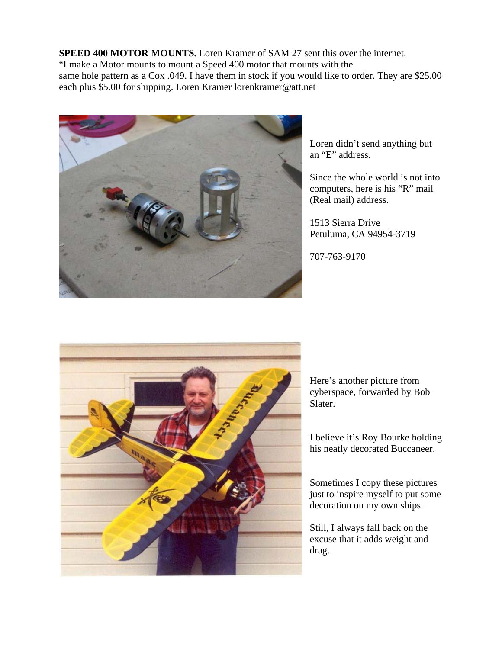**SPEED 400 MOTOR MOUNTS.** Loren Kramer of SAM 27 sent this over the internet. "I make a Motor mounts to mount a Speed 400 motor that mounts with the same hole pattern as a Cox .049. I have them in stock if you would like to order. They are \$25.00 each plus \$5.00 for shipping. Loren Kramer lorenkramer@att.net



Loren didn't send anything but an "E" address.

Since the whole world is not into computers, here is his "R" mail (Real mail) address.

1513 Sierra Drive Petuluma, CA 94954-3719

707-763-9170



Here's another picture from cyberspace, forwarded by Bob Slater.

I believe it's Roy Bourke holding his neatly decorated Buccaneer.

Sometimes I copy these pictures just to inspire myself to put some decoration on my own ships.

Still, I always fall back on the excuse that it adds weight and drag.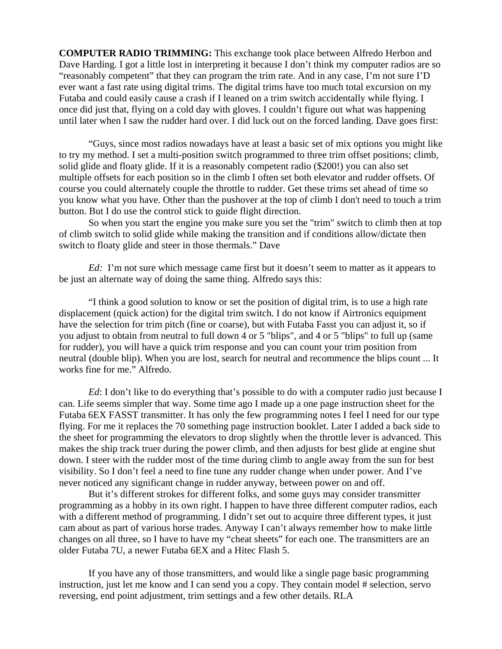**COMPUTER RADIO TRIMMING:** This exchange took place between Alfredo Herbon and Dave Harding. I got a little lost in interpreting it because I don't think my computer radios are so "reasonably competent" that they can program the trim rate. And in any case, I'm not sure I'D ever want a fast rate using digital trims. The digital trims have too much total excursion on my Futaba and could easily cause a crash if I leaned on a trim switch accidentally while flying. I once did just that, flying on a cold day with gloves. I couldn't figure out what was happening until later when I saw the rudder hard over. I did luck out on the forced landing. Dave goes first:

 "Guys, since most radios nowadays have at least a basic set of mix options you might like to try my method. I set a multi-position switch programmed to three trim offset positions; climb, solid glide and floaty glide. If it is a reasonably competent radio (\$200!) you can also set multiple offsets for each position so in the climb I often set both elevator and rudder offsets. Of course you could alternately couple the throttle to rudder. Get these trims set ahead of time so you know what you have. Other than the pushover at the top of climb I don't need to touch a trim button. But I do use the control stick to guide flight direction.

So when you start the engine you make sure you set the "trim" switch to climb then at top of climb switch to solid glide while making the transition and if conditions allow/dictate then switch to floaty glide and steer in those thermals." Dave

*Ed:* I'm not sure which message came first but it doesn't seem to matter as it appears to be just an alternate way of doing the same thing. Alfredo says this:

 "I think a good solution to know or set the position of digital trim, is to use a high rate displacement (quick action) for the digital trim switch. I do not know if Airtronics equipment have the selection for trim pitch (fine or coarse), but with Futaba Fasst you can adjust it, so if you adjust to obtain from neutral to full down 4 or 5 "blips", and 4 or 5 "blips" to full up (same for rudder), you will have a quick trim response and you can count your trim position from neutral (double blip). When you are lost, search for neutral and recommence the blips count ... It works fine for me." Alfredo.

*Ed*: I don't like to do everything that's possible to do with a computer radio just because I can. Life seems simpler that way. Some time ago I made up a one page instruction sheet for the Futaba 6EX FASST transmitter. It has only the few programming notes I feel I need for our type flying. For me it replaces the 70 something page instruction booklet. Later I added a back side to the sheet for programming the elevators to drop slightly when the throttle lever is advanced. This makes the ship track truer during the power climb, and then adjusts for best glide at engine shut down. I steer with the rudder most of the time during climb to angle away from the sun for best visibility. So I don't feel a need to fine tune any rudder change when under power. And I've never noticed any significant change in rudder anyway, between power on and off.

 But it's different strokes for different folks, and some guys may consider transmitter programming as a hobby in its own right. I happen to have three different computer radios, each with a different method of programming. I didn't set out to acquire three different types, it just cam about as part of various horse trades. Anyway I can't always remember how to make little changes on all three, so I have to have my "cheat sheets" for each one. The transmitters are an older Futaba 7U, a newer Futaba 6EX and a Hitec Flash 5.

 If you have any of those transmitters, and would like a single page basic programming instruction, just let me know and I can send you a copy. They contain model # selection, servo reversing, end point adjustment, trim settings and a few other details. RLA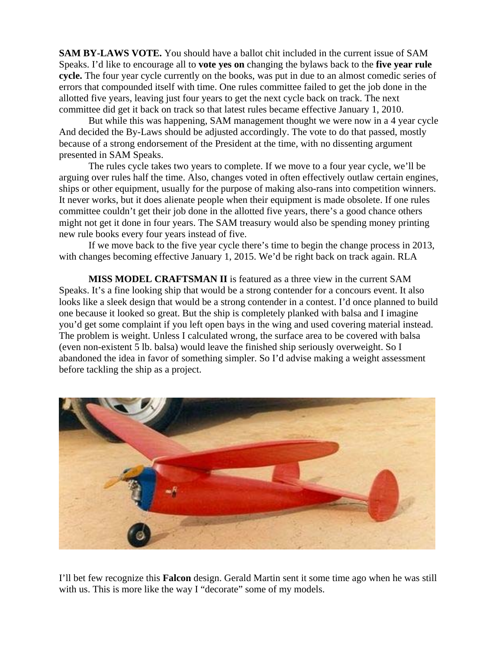**SAM BY-LAWS VOTE.** You should have a ballot chit included in the current issue of SAM Speaks. I'd like to encourage all to **vote yes on** changing the bylaws back to the **five year rule cycle.** The four year cycle currently on the books, was put in due to an almost comedic series of errors that compounded itself with time. One rules committee failed to get the job done in the allotted five years, leaving just four years to get the next cycle back on track. The next committee did get it back on track so that latest rules became effective January 1, 2010.

 But while this was happening, SAM management thought we were now in a 4 year cycle And decided the By-Laws should be adjusted accordingly. The vote to do that passed, mostly because of a strong endorsement of the President at the time, with no dissenting argument presented in SAM Speaks.

The rules cycle takes two years to complete. If we move to a four year cycle, we'll be arguing over rules half the time. Also, changes voted in often effectively outlaw certain engines, ships or other equipment, usually for the purpose of making also-rans into competition winners. It never works, but it does alienate people when their equipment is made obsolete. If one rules committee couldn't get their job done in the allotted five years, there's a good chance others might not get it done in four years. The SAM treasury would also be spending money printing new rule books every four years instead of five.

If we move back to the five year cycle there's time to begin the change process in 2013, with changes becoming effective January 1, 2015. We'd be right back on track again. RLA

**MISS MODEL CRAFTSMAN II** is featured as a three view in the current SAM Speaks. It's a fine looking ship that would be a strong contender for a concours event. It also looks like a sleek design that would be a strong contender in a contest. I'd once planned to build one because it looked so great. But the ship is completely planked with balsa and I imagine you'd get some complaint if you left open bays in the wing and used covering material instead. The problem is weight. Unless I calculated wrong, the surface area to be covered with balsa (even non-existent 5 lb. balsa) would leave the finished ship seriously overweight. So I abandoned the idea in favor of something simpler. So I'd advise making a weight assessment before tackling the ship as a project.



I'll bet few recognize this **Falcon** design. Gerald Martin sent it some time ago when he was still with us. This is more like the way I "decorate" some of my models.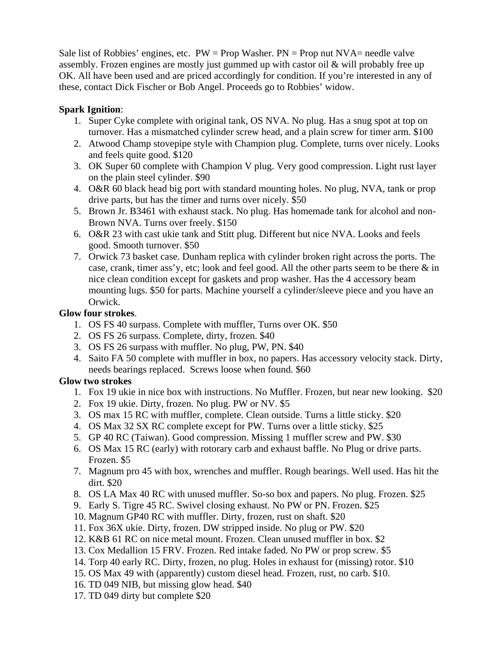Sale list of Robbies' engines, etc.  $PW = Prop$  Washer.  $PN = Prop$  nut  $NVA =$  needle valve assembly. Frozen engines are mostly just gummed up with castor oil & will probably free up OK. All have been used and are priced accordingly for condition. If you're interested in any of these, contact Dick Fischer or Bob Angel. Proceeds go to Robbies' widow.

### **Spark Ignition**:

- 1. Super Cyke complete with original tank, OS NVA. No plug. Has a snug spot at top on turnover. Has a mismatched cylinder screw head, and a plain screw for timer arm. \$100
- 2. Atwood Champ stovepipe style with Champion plug. Complete, turns over nicely. Looks and feels quite good. \$120
- 3. OK Super 60 complete with Champion V plug. Very good compression. Light rust layer on the plain steel cylinder. \$90
- 4. O&R 60 black head big port with standard mounting holes. No plug, NVA, tank or prop drive parts, but has the timer and turns over nicely. \$50
- 5. Brown Jr. B3461 with exhaust stack. No plug. Has homemade tank for alcohol and non-Brown NVA. Turns over freely. \$150
- 6. O&R 23 with cast ukie tank and Stitt plug. Different but nice NVA. Looks and feels good. Smooth turnover. \$50
- 7. Orwick 73 basket case. Dunham replica with cylinder broken right across the ports. The case, crank, timer ass'y, etc; look and feel good. All the other parts seem to be there & in nice clean condition except for gaskets and prop washer. Has the 4 accessory beam mounting lugs. \$50 for parts. Machine yourself a cylinder/sleeve piece and you have an Orwick.

### **Glow four strokes**.

- 1. OS FS 40 surpass. Complete with muffler, Turns over OK. \$50
- 2. OS FS 26 surpass. Complete, dirty, frozen. \$40
- 3. OS FS 26 surpass with muffler. No plug, PW, PN. \$40
- 4. Saito FA 50 complete with muffler in box, no papers. Has accessory velocity stack. Dirty, needs bearings replaced. Screws loose when found. \$60

## **Glow two strokes**

- 1. Fox 19 ukie in nice box with instructions. No Muffler. Frozen, but near new looking. \$20
- 2. Fox 19 ukie. Dirty, frozen. No plug. PW or NV. \$5
- 3. OS max 15 RC with muffler, complete. Clean outside. Turns a little sticky. \$20
- 4. OS Max 32 SX RC complete except for PW. Turns over a little sticky. \$25
- 5. GP 40 RC (Taiwan). Good compression. Missing 1 muffler screw and PW. \$30
- 6. OS Max 15 RC (early) with rotorary carb and exhaust baffle. No Plug or drive parts. Frozen. \$5
- 7. Magnum pro 45 with box, wrenches and muffler. Rough bearings. Well used. Has hit the dirt. \$20
- 8. OS LA Max 40 RC with unused muffler. So-so box and papers. No plug. Frozen. \$25
- 9. Early S. Tigre 45 RC. Swivel closing exhaust. No PW or PN. Frozen. \$25
- 10. Magnum GP40 RC with muffler. Dirty, frozen, rust on shaft. \$20
- 11. Fox 36X ukie. Dirty, frozen. DW stripped inside. No plug or PW. \$20
- 12. K&B 61 RC on nice metal mount. Frozen. Clean unused muffler in box. \$2
- 13. Cox Medallion 15 FRV. Frozen. Red intake faded. No PW or prop screw. \$5
- 14. Torp 40 early RC. Dirty, frozen, no plug. Holes in exhaust for (missing) rotor. \$10
- 15. OS Max 49 with (apparently) custom diesel head. Frozen, rust, no carb. \$10.
- 16. TD 049 NIB, but missing glow head. \$40
- 17. TD 049 dirty but complete \$20